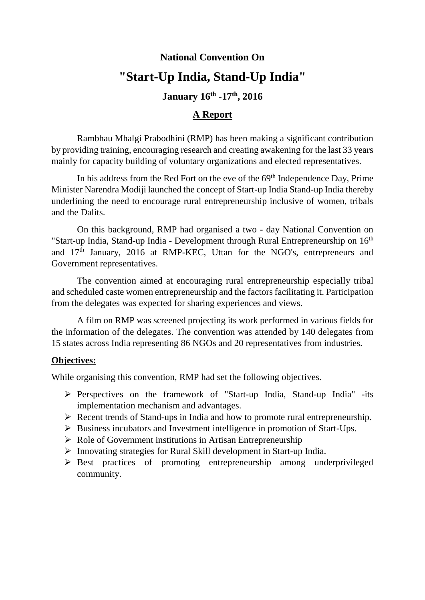# **National Convention On "Start-Up India, Stand-Up India"**

# **January 16th -17th, 2016**

# **A Report**

Rambhau Mhalgi Prabodhini (RMP) has been making a significant contribution by providing training, encouraging research and creating awakening for the last 33 years mainly for capacity building of voluntary organizations and elected representatives.

In his address from the Red Fort on the eve of the 69<sup>th</sup> Independence Day, Prime Minister Narendra Modiji launched the concept of Start-up India Stand-up India thereby underlining the need to encourage rural entrepreneurship inclusive of women, tribals and the Dalits.

On this background, RMP had organised a two - day National Convention on "Start-up India, Stand-up India - Development through Rural Entrepreneurship on 16<sup>th</sup> and 17th January, 2016 at RMP-KEC, Uttan for the NGO's, entrepreneurs and Government representatives.

The convention aimed at encouraging rural entrepreneurship especially tribal and scheduled caste women entrepreneurship and the factors facilitating it. Participation from the delegates was expected for sharing experiences and views.

A film on RMP was screened projecting its work performed in various fields for the information of the delegates. The convention was attended by 140 delegates from 15 states across India representing 86 NGOs and 20 representatives from industries.

## **Objectives:**

While organising this convention, RMP had set the following objectives.

- Perspectives on the framework of "Start-up India, Stand-up India" -its implementation mechanism and advantages.
- $\triangleright$  Recent trends of Stand-ups in India and how to promote rural entrepreneurship.
- $\triangleright$  Business incubators and Investment intelligence in promotion of Start-Ups.
- $\triangleright$  Role of Government institutions in Artisan Entrepreneurship
- $\triangleright$  Innovating strategies for Rural Skill development in Start-up India.
- Best practices of promoting entrepreneurship among underprivileged community.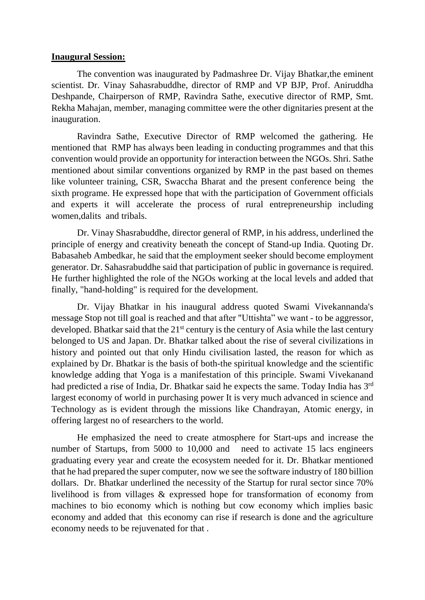#### **Inaugural Session:**

The convention was inaugurated by Padmashree Dr. Vijay Bhatkar,the eminent scientist. Dr. Vinay Sahasrabuddhe, director of RMP and VP BJP, Prof. Aniruddha Deshpande, Chairperson of RMP, Ravindra Sathe, executive director of RMP, Smt. Rekha Mahajan, member, managing committee were the other dignitaries present at the inauguration.

Ravindra Sathe, Executive Director of RMP welcomed the gathering. He mentioned that RMP has always been leading in conducting programmes and that this convention would provide an opportunity for interaction between the NGOs. Shri. Sathe mentioned about similar conventions organized by RMP in the past based on themes like volunteer training, CSR, Swaccha Bharat and the present conference being the sixth programe. He expressed hope that with the participation of Government officials and experts it will accelerate the process of rural entrepreneurship including women,dalits and tribals.

Dr. Vinay Shasrabuddhe, director general of RMP, in his address, underlined the principle of energy and creativity beneath the concept of Stand-up India. Quoting Dr. Babasaheb Ambedkar, he said that the employment seeker should become employment generator. Dr. Sahasrabuddhe said that participation of public in governance is required. He further highlighted the role of the NGOs working at the local levels and added that finally, "hand-holding" is required for the development.

Dr. Vijay Bhatkar in his inaugural address quoted Swami Vivekannanda's message Stop not till goal is reached and that after "Uttishta" we want - to be aggressor, developed. Bhatkar said that the  $21<sup>st</sup>$  century is the century of Asia while the last century belonged to US and Japan. Dr. Bhatkar talked about the rise of several civilizations in history and pointed out that only Hindu civilisation lasted, the reason for which as explained by Dr. Bhatkar is the basis of both-the spiritual knowledge and the scientific knowledge adding that Yoga is a manifestation of this principle. Swami Vivekanand had predicted a rise of India, Dr. Bhatkar said he expects the same. Today India has 3<sup>rd</sup> largest economy of world in purchasing power It is very much advanced in science and Technology as is evident through the missions like Chandrayan, Atomic energy, in offering largest no of researchers to the world.

He emphasized the need to create atmosphere for Start-ups and increase the number of Startups, from 5000 to 10,000 and need to activate 15 lacs engineers graduating every year and create the ecosystem needed for it. Dr. Bhatkar mentioned that he had prepared the super computer, now we see the software industry of 180 billion dollars. Dr. Bhatkar underlined the necessity of the Startup for rural sector since 70% livelihood is from villages & expressed hope for transformation of economy from machines to bio economy which is nothing but cow economy which implies basic economy and added that this economy can rise if research is done and the agriculture economy needs to be rejuvenated for that .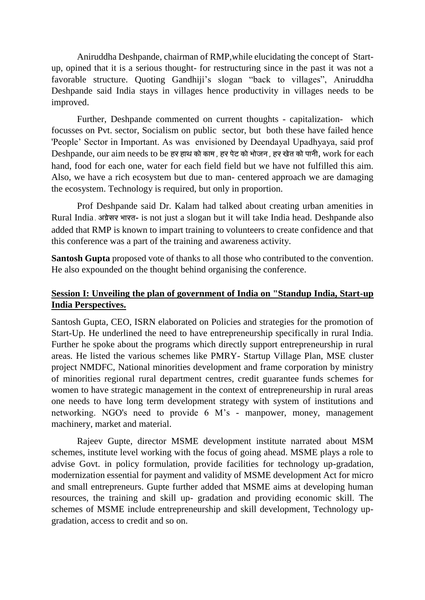Aniruddha Deshpande, chairman of RMP,while elucidating the concept of Startup, opined that it is a serious thought- for restructuring since in the past it was not a favorable structure. Quoting Gandhiji's slogan "back to villages", Aniruddha Deshpande said India stays in villages hence productivity in villages needs to be improved.

Further, Deshpande commented on current thoughts - capitalization- which focusses on Pvt. sector, Socialism on public sector, but both these have failed hence 'People' Sector in Important. As was envisioned by Deendayal Upadhyaya, said prof Deshpande, our aim needs to be हर हाथ को काम, हर पेट को भोजन, हर खेत को पानी, work for each hand, food for each one, water for each field field but we have not fulfilled this aim. Also, we have a rich ecosystem but due to man- centered approach we are damaging the ecosystem. Technology is required, but only in proportion.

Prof Deshpande said Dr. Kalam had talked about creating urban amenities in Rural India. अग्रेसर भारत- is not just a slogan but it will take India head. Deshpande also added that RMP is known to impart training to volunteers to create confidence and that this conference was a part of the training and awareness activity.

**Santosh Gupta** proposed vote of thanks to all those who contributed to the convention. He also expounded on the thought behind organising the conference.

# **Session I: Unveiling the plan of government of India on "Standup India, Start-up India Perspectives.**

Santosh Gupta, CEO, ISRN elaborated on Policies and strategies for the promotion of Start-Up. He underlined the need to have entrepreneurship specifically in rural India. Further he spoke about the programs which directly support entrepreneurship in rural areas. He listed the various schemes like PMRY- Startup Village Plan, MSE cluster project NMDFC, National minorities development and frame corporation by ministry of minorities regional rural department centres, credit guarantee funds schemes for women to have strategic management in the context of entrepreneurship in rural areas one needs to have long term development strategy with system of institutions and networking. NGO's need to provide 6 M's - manpower, money, management machinery, market and material.

Rajeev Gupte, director MSME development institute narrated about MSM schemes, institute level working with the focus of going ahead. MSME plays a role to advise Govt. in policy formulation, provide facilities for technology up-gradation, modernization essential for payment and validity of MSME development Act for micro and small entrepreneurs. Gupte further added that MSME aims at developing human resources, the training and skill up- gradation and providing economic skill. The schemes of MSME include entrepreneurship and skill development, Technology upgradation, access to credit and so on.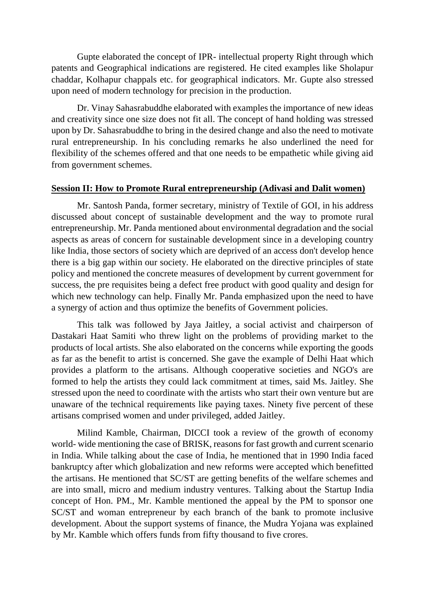Gupte elaborated the concept of IPR- intellectual property Right through which patents and Geographical indications are registered. He cited examples like Sholapur chaddar, Kolhapur chappals etc. for geographical indicators. Mr. Gupte also stressed upon need of modern technology for precision in the production.

Dr. Vinay Sahasrabuddhe elaborated with examples the importance of new ideas and creativity since one size does not fit all. The concept of hand holding was stressed upon by Dr. Sahasrabuddhe to bring in the desired change and also the need to motivate rural entrepreneurship. In his concluding remarks he also underlined the need for flexibility of the schemes offered and that one needs to be empathetic while giving aid from government schemes.

#### **Session II: How to Promote Rural entrepreneurship (Adivasi and Dalit women)**

Mr. Santosh Panda, former secretary, ministry of Textile of GOI, in his address discussed about concept of sustainable development and the way to promote rural entrepreneurship. Mr. Panda mentioned about environmental degradation and the social aspects as areas of concern for sustainable development since in a developing country like India, those sectors of society which are deprived of an access don't develop hence there is a big gap within our society. He elaborated on the directive principles of state policy and mentioned the concrete measures of development by current government for success, the pre requisites being a defect free product with good quality and design for which new technology can help. Finally Mr. Panda emphasized upon the need to have a synergy of action and thus optimize the benefits of Government policies.

This talk was followed by Jaya Jaitley, a social activist and chairperson of Dastakari Haat Samiti who threw light on the problems of providing market to the products of local artists. She also elaborated on the concerns while exporting the goods as far as the benefit to artist is concerned. She gave the example of Delhi Haat which provides a platform to the artisans. Although cooperative societies and NGO's are formed to help the artists they could lack commitment at times, said Ms. Jaitley. She stressed upon the need to coordinate with the artists who start their own venture but are unaware of the technical requirements like paying taxes. Ninety five percent of these artisans comprised women and under privileged, added Jaitley.

Milind Kamble, Chairman, DICCI took a review of the growth of economy world- wide mentioning the case of BRISK, reasons for fast growth and current scenario in India. While talking about the case of India, he mentioned that in 1990 India faced bankruptcy after which globalization and new reforms were accepted which benefitted the artisans. He mentioned that SC/ST are getting benefits of the welfare schemes and are into small, micro and medium industry ventures. Talking about the Startup India concept of Hon. PM., Mr. Kamble mentioned the appeal by the PM to sponsor one SC/ST and woman entrepreneur by each branch of the bank to promote inclusive development. About the support systems of finance, the Mudra Yojana was explained by Mr. Kamble which offers funds from fifty thousand to five crores.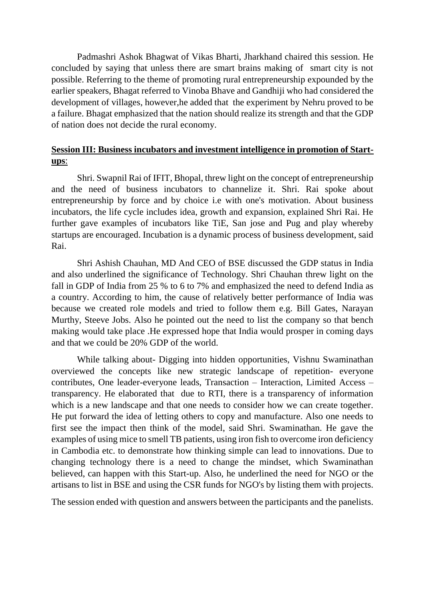Padmashri Ashok Bhagwat of Vikas Bharti, Jharkhand chaired this session. He concluded by saying that unless there are smart brains making of smart city is not possible. Referring to the theme of promoting rural entrepreneurship expounded by the earlier speakers, Bhagat referred to Vinoba Bhave and Gandhiji who had considered the development of villages, however,he added that the experiment by Nehru proved to be a failure. Bhagat emphasized that the nation should realize its strength and that the GDP of nation does not decide the rural economy.

## **Session III: Business incubators and investment intelligence in promotion of Startups**:

Shri. Swapnil Rai of IFIT, Bhopal, threw light on the concept of entrepreneurship and the need of business incubators to channelize it. Shri. Rai spoke about entrepreneurship by force and by choice i.e with one's motivation. About business incubators, the life cycle includes idea, growth and expansion, explained Shri Rai. He further gave examples of incubators like TiE, San jose and Pug and play whereby startups are encouraged. Incubation is a dynamic process of business development, said Rai.

Shri Ashish Chauhan, MD And CEO of BSE discussed the GDP status in India and also underlined the significance of Technology. Shri Chauhan threw light on the fall in GDP of India from 25 % to 6 to 7% and emphasized the need to defend India as a country. According to him, the cause of relatively better performance of India was because we created role models and tried to follow them e.g. Bill Gates, Narayan Murthy, Steeve Jobs. Also he pointed out the need to list the company so that bench making would take place .He expressed hope that India would prosper in coming days and that we could be 20% GDP of the world.

While talking about- Digging into hidden opportunities, Vishnu Swaminathan overviewed the concepts like new strategic landscape of repetition- everyone contributes, One leader-everyone leads, Transaction – Interaction, Limited Access – transparency. He elaborated that due to RTI, there is a transparency of information which is a new landscape and that one needs to consider how we can create together. He put forward the idea of letting others to copy and manufacture. Also one needs to first see the impact then think of the model, said Shri. Swaminathan. He gave the examples of using mice to smell TB patients, using iron fish to overcome iron deficiency in Cambodia etc. to demonstrate how thinking simple can lead to innovations. Due to changing technology there is a need to change the mindset, which Swaminathan believed, can happen with this Start-up. Also, he underlined the need for NGO or the artisans to list in BSE and using the CSR funds for NGO's by listing them with projects.

The session ended with question and answers between the participants and the panelists.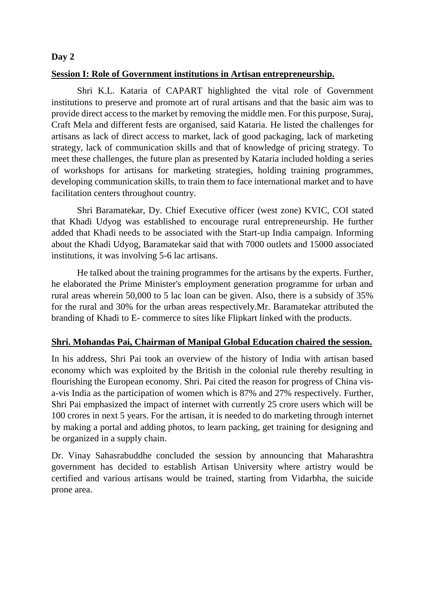#### **Day 2**

#### **Session I: Role of Government institutions in Artisan entrepreneurship.**

Shri K.L. Kataria of CAPART highlighted the vital role of Government institutions to preserve and promote art of rural artisans and that the basic aim was to provide direct access to the market by removing the middle men. For this purpose, Suraj, Craft Mela and different fests are organised, said Kataria. He listed the challenges for artisans as lack of direct access to market, lack of good packaging, lack of marketing strategy, lack of communication skills and that of knowledge of pricing strategy. To meet these challenges, the future plan as presented by Kataria included holding a series of workshops for artisans for marketing strategies, holding training programmes, developing communication skills, to train them to face international market and to have facilitation centers throughout country.

Shri Baramatekar, Dy. Chief Executive officer (west zone) KVIC, COI stated that Khadi Udyog was established to encourage rural entrepreneurship. He further added that Khadi needs to be associated with the Start-up India campaign. Informing about the Khadi Udyog, Baramatekar said that with 7000 outlets and 15000 associated institutions, it was involving 5-6 lac artisans.

He talked about the training programmes for the artisans by the experts. Further, he elaborated the Prime Minister's employment generation programme for urban and rural areas wherein 50,000 to 5 lac loan can be given. Also, there is a subsidy of 35% for the rural and 30% for the urban areas respectively.Mr. Baramatekar attributed the branding of Khadi to E- commerce to sites like Flipkart linked with the products.

#### **Shri. Mohandas Pai, Chairman of Manipal Global Education chaired the session.**

In his address, Shri Pai took an overview of the history of India with artisan based economy which was exploited by the British in the colonial rule thereby resulting in flourishing the European economy. Shri. Pai cited the reason for progress of China visa-vis India as the participation of women which is 87% and 27% respectively. Further, Shri Pai emphasized the impact of internet with currently 25 crore users which will be 100 crores in next 5 years. For the artisan, it is needed to do marketing through internet by making a portal and adding photos, to learn packing, get training for designing and be organized in a supply chain.

Dr. Vinay Sahasrabuddhe concluded the session by announcing that Maharashtra government has decided to establish Artisan University where artistry would be certified and various artisans would be trained, starting from Vidarbha, the suicide prone area.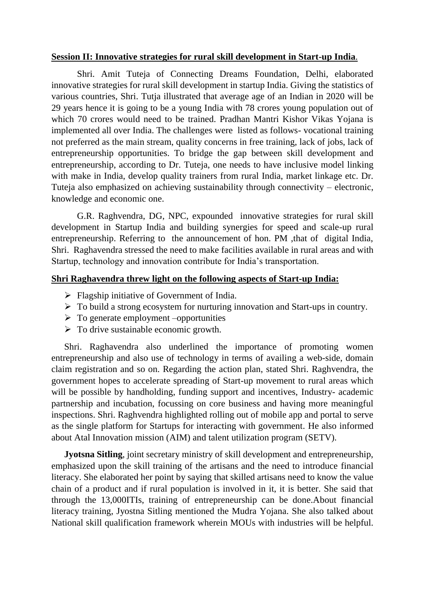#### **Session II: Innovative strategies for rural skill development in Start-up India**.

Shri. Amit Tuteja of Connecting Dreams Foundation, Delhi, elaborated innovative strategies for rural skill development in startup India. Giving the statistics of various countries, Shri. Tutja illustrated that average age of an Indian in 2020 will be 29 years hence it is going to be a young India with 78 crores young population out of which 70 crores would need to be trained. Pradhan Mantri Kishor Vikas Yojana is implemented all over India. The challenges were listed as follows- vocational training not preferred as the main stream, quality concerns in free training, lack of jobs, lack of entrepreneurship opportunities. To bridge the gap between skill development and entrepreneurship, according to Dr. Tuteja, one needs to have inclusive model linking with make in India, develop quality trainers from rural India, market linkage etc. Dr. Tuteja also emphasized on achieving sustainability through connectivity – electronic, knowledge and economic one.

G.R. Raghvendra, DG, NPC, expounded innovative strategies for rural skill development in Startup India and building synergies for speed and scale-up rural entrepreneurship. Referring to the announcement of hon. PM ,that of digital India, Shri. Raghavendra stressed the need to make facilities available in rural areas and with Startup, technology and innovation contribute for India's transportation.

#### **Shri Raghavendra threw light on the following aspects of Start-up India:**

- $\triangleright$  Flagship initiative of Government of India.
- $\triangleright$  To build a strong ecosystem for nurturing innovation and Start-ups in country.
- $\triangleright$  To generate employment –opportunities
- $\triangleright$  To drive sustainable economic growth.

Shri. Raghavendra also underlined the importance of promoting women entrepreneurship and also use of technology in terms of availing a web-side, domain claim registration and so on. Regarding the action plan, stated Shri. Raghvendra, the government hopes to accelerate spreading of Start-up movement to rural areas which will be possible by handholding, funding support and incentives, Industry-academic partnership and incubation, focussing on core business and having more meaningful inspections. Shri. Raghvendra highlighted rolling out of mobile app and portal to serve as the single platform for Startups for interacting with government. He also informed about Atal Innovation mission (AIM) and talent utilization program (SETV).

**Jyotsna Sitling**, joint secretary ministry of skill development and entrepreneurship, emphasized upon the skill training of the artisans and the need to introduce financial literacy. She elaborated her point by saying that skilled artisans need to know the value chain of a product and if rural population is involved in it, it is better. She said that through the 13,000ITIs, training of entrepreneurship can be done.About financial literacy training, Jyostna Sitling mentioned the Mudra Yojana. She also talked about National skill qualification framework wherein MOUs with industries will be helpful.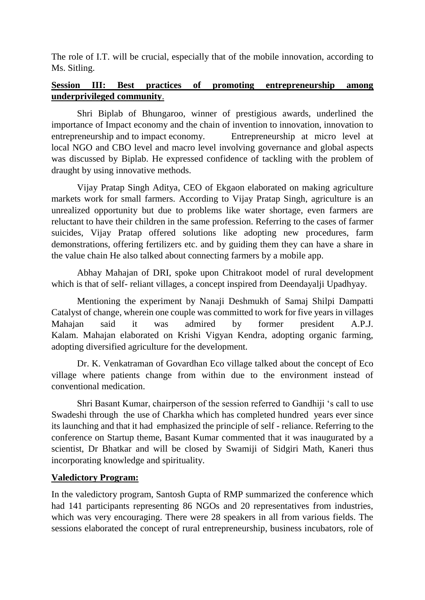The role of I.T. will be crucial, especially that of the mobile innovation, according to Ms. Sitling.

# **Session III: Best practices of promoting entrepreneurship among underprivileged community**.

Shri Biplab of Bhungaroo, winner of prestigious awards, underlined the importance of Impact economy and the chain of invention to innovation, innovation to entrepreneurship and to impact economy. Entrepreneurship at micro level at local NGO and CBO level and macro level involving governance and global aspects was discussed by Biplab. He expressed confidence of tackling with the problem of draught by using innovative methods.

Vijay Pratap Singh Aditya, CEO of Ekgaon elaborated on making agriculture markets work for small farmers. According to Vijay Pratap Singh, agriculture is an unrealized opportunity but due to problems like water shortage, even farmers are reluctant to have their children in the same profession. Referring to the cases of farmer suicides, Vijay Pratap offered solutions like adopting new procedures, farm demonstrations, offering fertilizers etc. and by guiding them they can have a share in the value chain He also talked about connecting farmers by a mobile app.

Abhay Mahajan of DRI, spoke upon Chitrakoot model of rural development which is that of self- reliant villages, a concept inspired from Deendayalji Upadhyay.

Mentioning the experiment by Nanaji Deshmukh of Samaj Shilpi Dampatti Catalyst of change, wherein one couple was committed to work for five years in villages Mahajan said it was admired by former president A.P.J. Kalam. Mahajan elaborated on Krishi Vigyan Kendra, adopting organic farming, adopting diversified agriculture for the development.

Dr. K. Venkatraman of Govardhan Eco village talked about the concept of Eco village where patients change from within due to the environment instead of conventional medication.

Shri Basant Kumar, chairperson of the session referred to Gandhiji 's call to use Swadeshi through the use of Charkha which has completed hundred years ever since its launching and that it had emphasized the principle of self - reliance. Referring to the conference on Startup theme, Basant Kumar commented that it was inaugurated by a scientist, Dr Bhatkar and will be closed by Swamiji of Sidgiri Math, Kaneri thus incorporating knowledge and spirituality.

## **Valedictory Program:**

In the valedictory program, Santosh Gupta of RMP summarized the conference which had 141 participants representing 86 NGOs and 20 representatives from industries, which was very encouraging. There were 28 speakers in all from various fields. The sessions elaborated the concept of rural entrepreneurship, business incubators, role of